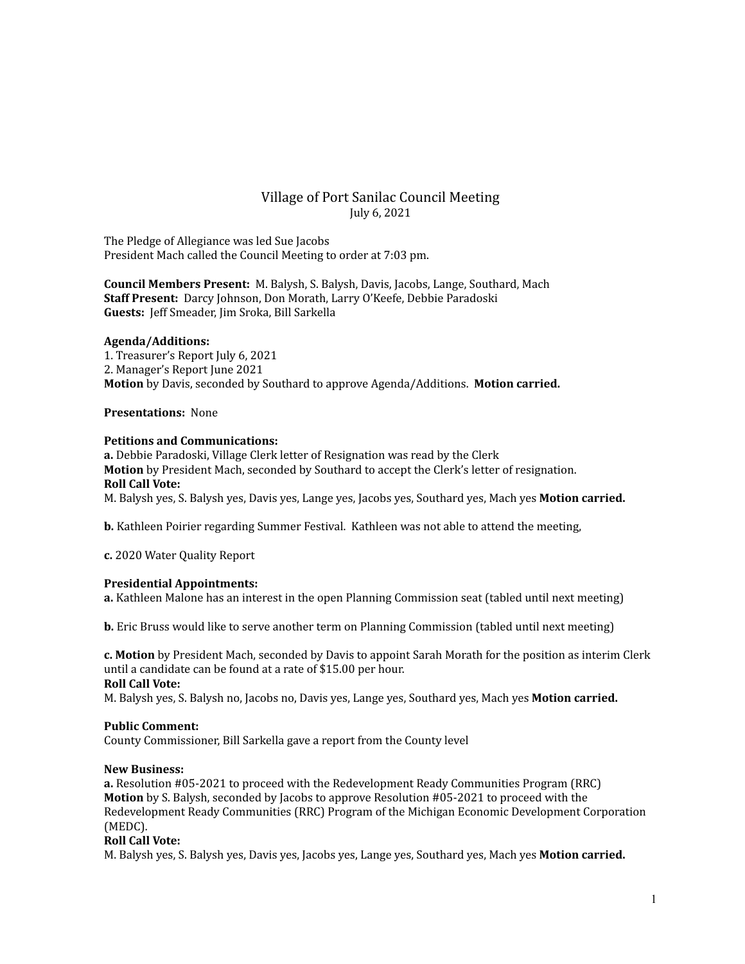# Village of Port Sanilac Council Meeting July 6, 2021

The Pledge of Allegiance was led Sue Jacobs President Mach called the Council Meeting to order at 7:03 pm.

**Council Members Present:** M. Balysh, S. Balysh, Davis, Jacobs, Lange, Southard, Mach **Staff Present:** Darcy Johnson, Don Morath, Larry O'Keefe, Debbie Paradoski **Guests:** Jeff Smeader, Jim Sroka, Bill Sarkella

#### **Agenda/Additions:**

1. Treasurer's Report July 6, 2021 2. Manager's Report June 2021 **Motion** by Davis, seconded by Southard to approve Agenda/Additions. **Motion carried.**

### **Presentations:** None

## **Petitions and Communications:**

**a.** Debbie Paradoski, Village Clerk letter of Resignation was read by the Clerk **Motion** by President Mach, seconded by Southard to accept the Clerk's letter of resignation. **Roll Call Vote:**

M. Balysh yes, S. Balysh yes, Davis yes, Lange yes, Jacobs yes, Southard yes, Mach yes **Motion carried.**

**b.** Kathleen Poirier regarding Summer Festival. Kathleen was not able to attend the meeting,

## **c.** 2020 Water Quality Report

## **Presidential Appointments:**

**a.** Kathleen Malone has an interest in the open Planning Commission seat (tabled until next meeting)

**b.** Eric Bruss would like to serve another term on Planning Commission (tabled until next meeting)

**c. Motion** by President Mach, seconded by Davis to appoint Sarah Morath for the position as interim Clerk until a candidate can be found at a rate of \$15.00 per hour. **Roll Call Vote:**

M. Balysh yes, S. Balysh no, Jacobs no, Davis yes, Lange yes, Southard yes, Mach yes **Motion carried.**

#### **Public Comment:**

County Commissioner, Bill Sarkella gave a report from the County level

#### **New Business:**

**a.** Resolution #05-2021 to proceed with the Redevelopment Ready Communities Program (RRC) **Motion** by S. Balysh, seconded by Jacobs to approve Resolution #05-2021 to proceed with the Redevelopment Ready Communities (RRC) Program of the Michigan Economic Development Corporation (MEDC).

## **Roll Call Vote:**

M. Balysh yes, S. Balysh yes, Davis yes, Jacobs yes, Lange yes, Southard yes, Mach yes **Motion carried.**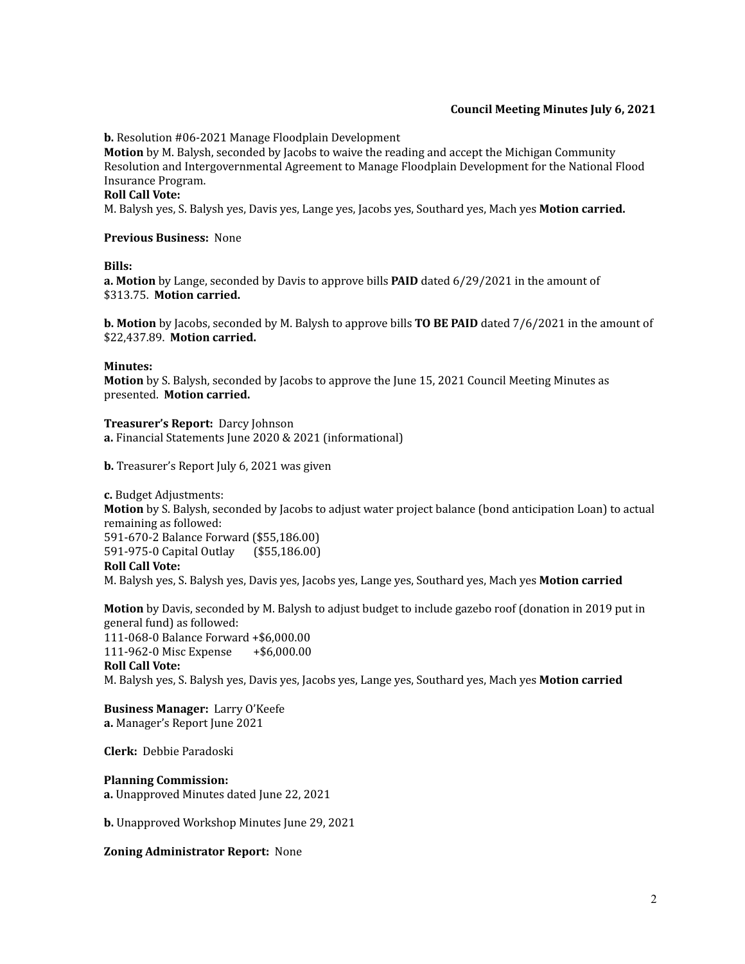### **Council Meeting Minutes July 6, 2021**

**b.** Resolution #06-2021 Manage Floodplain Development

**Motion** by M. Balysh, seconded by Jacobs to waive the reading and accept the Michigan Community Resolution and Intergovernmental Agreement to Manage Floodplain Development for the National Flood Insurance Program.

## **Roll Call Vote:**

M. Balysh yes, S. Balysh yes, Davis yes, Lange yes, Jacobs yes, Southard yes, Mach yes **Motion carried.**

#### **Previous Business:** None

#### **Bills:**

**a. Motion** by Lange, seconded by Davis to approve bills **PAID** dated 6/29/2021 in the amount of \$313.75. **Motion carried.**

**b. Motion** by Jacobs, seconded by M. Balysh to approve bills **TO BE PAID** dated 7/6/2021 in the amount of \$22,437.89. **Motion carried.**

### **Minutes:**

**Motion** by S. Balysh, seconded by Jacobs to approve the June 15, 2021 Council Meeting Minutes as presented. **Motion carried.**

**Treasurer's Report:** Darcy Johnson **a.** Financial Statements June 2020 & 2021 (informational)

**b.** Treasurer's Report July 6, 2021 was given

**c.** Budget Adjustments: **Motion** by S. Balysh, seconded by Jacobs to adjust water project balance (bond anticipation Loan) to actual remaining as followed: 591-670-2 Balance Forward (\$55,186.00) 591-975-0 Capital Outlay (\$55,186.00) **Roll Call Vote:** M. Balysh yes, S. Balysh yes, Davis yes, Jacobs yes, Lange yes, Southard yes, Mach yes **Motion carried**

**Motion** by Davis, seconded by M. Balysh to adjust budget to include gazebo roof (donation in 2019 put in general fund) as followed: 111-068-0 Balance Forward +\$6,000.00 111-962-0 Misc Expense +\$6,000.00 **Roll Call Vote:** M. Balysh yes, S. Balysh yes, Davis yes, Jacobs yes, Lange yes, Southard yes, Mach yes **Motion carried**

**Business Manager:** Larry O'Keefe **a.** Manager's Report June 2021

**Clerk:** Debbie Paradoski

## **Planning Commission:**

**a.** Unapproved Minutes dated June 22, 2021

**b.** Unapproved Workshop Minutes June 29, 2021

**Zoning Administrator Report:** None